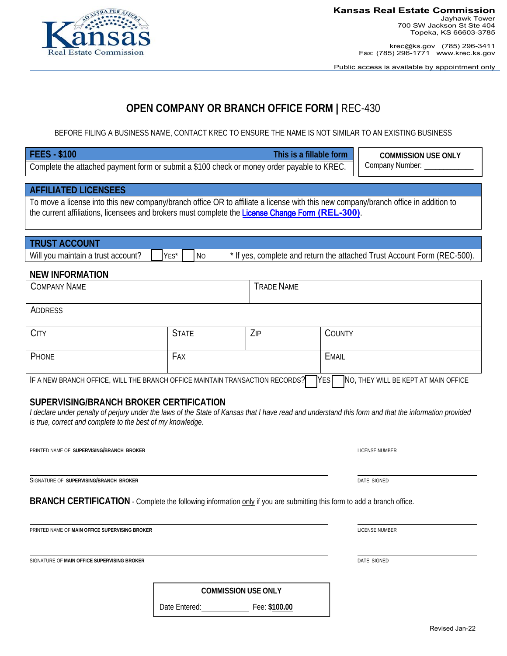Revised Jan-22

#### **Kansas Real Estate Commission**  Jayhawk Tower 700 SW Jackson St Ste 404 Topeka, KS 66603-3785

krec@ks.gov (785) 296-3411 Fax: (785) 296-1771 www.krec.ks.gov

Public access is available by appointment only

# **OPEN COMPANY OR BRANCH OFFICE FORM |** REC-430

BEFORE FILING A BUSINESS NAME, CONTACT KREC TO ENSURE THE NAME IS NOT SIMILAR TO AN EXISTING BUSINESS

| <b>FEES - \$100</b>                                                                                                                                  |                   | This is a fillable form |              | <b>COMMISSION USE ONLY</b>                                              |  |  |  |
|------------------------------------------------------------------------------------------------------------------------------------------------------|-------------------|-------------------------|--------------|-------------------------------------------------------------------------|--|--|--|
| Company Number: _____<br>Complete the attached payment form or submit a \$100 check or money order payable to KREC.                                  |                   |                         |              |                                                                         |  |  |  |
|                                                                                                                                                      |                   |                         |              |                                                                         |  |  |  |
| <b>AFFILIATED LICENSEES</b>                                                                                                                          |                   |                         |              |                                                                         |  |  |  |
| To move a license into this new company/branch office OR to affiliate a license with this new company/branch office in addition to                   |                   |                         |              |                                                                         |  |  |  |
| the current affiliations, licensees and brokers must complete the License Change Form (REL-300).                                                     |                   |                         |              |                                                                         |  |  |  |
|                                                                                                                                                      |                   |                         |              |                                                                         |  |  |  |
| <b>TRUST ACCOUNT</b>                                                                                                                                 |                   |                         |              |                                                                         |  |  |  |
| Will you maintain a trust account?                                                                                                                   | YES*<br><b>No</b> |                         |              | * If yes, complete and return the attached Trust Account Form (REC-500) |  |  |  |
|                                                                                                                                                      |                   |                         |              |                                                                         |  |  |  |
| <b>NEW INFORMATION</b>                                                                                                                               |                   |                         |              |                                                                         |  |  |  |
| <b>COMPANY NAME</b>                                                                                                                                  |                   | <b>TRADE NAME</b>       |              |                                                                         |  |  |  |
|                                                                                                                                                      |                   |                         |              |                                                                         |  |  |  |
| <b>ADDRESS</b>                                                                                                                                       |                   |                         |              |                                                                         |  |  |  |
|                                                                                                                                                      |                   |                         |              |                                                                         |  |  |  |
| <b>CITY</b>                                                                                                                                          | <b>STATE</b>      | ZIP                     | COUNTY       |                                                                         |  |  |  |
|                                                                                                                                                      |                   |                         |              |                                                                         |  |  |  |
| PHONE                                                                                                                                                | <b>FAX</b>        |                         | <b>EMAIL</b> |                                                                         |  |  |  |
| IF A NEW BRANCH OFFICE, WILL THE BRANCH OFFICE MAINTAIN TRANSACTION RECORDS?                                                                         |                   |                         | <b>TYES</b>  | NO, THEY WILL BE KEPT AT MAIN OFFICE                                    |  |  |  |
|                                                                                                                                                      |                   |                         |              |                                                                         |  |  |  |
| SUPERVISING/BRANCH BROKER CERTIFICATION                                                                                                              |                   |                         |              |                                                                         |  |  |  |
| I declare under penalty of perjury under the laws of the State of Kansas that I have read and understand this form and that the information provided |                   |                         |              |                                                                         |  |  |  |
| is true, correct and complete to the best of my knowledge.                                                                                           |                   |                         |              |                                                                         |  |  |  |
|                                                                                                                                                      |                   |                         |              |                                                                         |  |  |  |
| PRINTED NAME OF SUPERVISING/BRANCH BROKER                                                                                                            |                   |                         |              | LICENSE NUMBER                                                          |  |  |  |
|                                                                                                                                                      |                   |                         |              |                                                                         |  |  |  |
|                                                                                                                                                      |                   |                         |              |                                                                         |  |  |  |
| SIGNATURE OF SUPERVISING/BRANCH BROKER<br>DATE SIGNED                                                                                                |                   |                         |              |                                                                         |  |  |  |
|                                                                                                                                                      |                   |                         |              |                                                                         |  |  |  |
| BRANCH CERTIFICATION - Complete the following information only if you are submitting this form to add a branch office.                               |                   |                         |              |                                                                         |  |  |  |
|                                                                                                                                                      |                   |                         |              |                                                                         |  |  |  |
| PRINTED NAME OF MAIN OFFICE SUPERVISING BROKER                                                                                                       |                   |                         |              | LICENSE NUMBER                                                          |  |  |  |

SIGNATURE OF **MAIN OFFICE SUPERVISING BROKER** DATE SIGNED

**COMMISSION USE ONLY** 

Date Entered: Fee: **\$100.00**

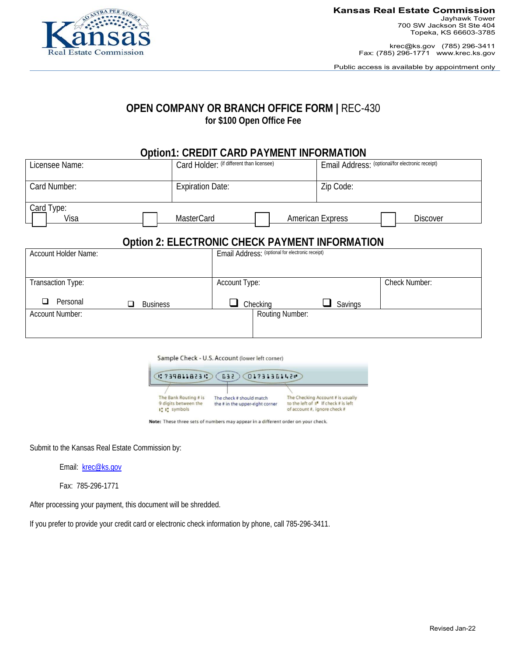

Jayhawk Tower 700 SW Jackson St Ste 404 Topeka, KS 66603-3785

krec@ks.gov (785) 296-3411 Fax: (785) 296-1771 www.krec.ks.gov

Public access is available by appointment only

## **OPEN COMPANY OR BRANCH OFFICE FORM |** REC-430 **for \$100 Open Office Fee**

## **Option1: CREDIT CARD PAYMENT INFORMATION**

| Licensee Name:     | Card Holder: (if different than licensee) | Email Address: (optional/for electronic receipt) |  |  |
|--------------------|-------------------------------------------|--------------------------------------------------|--|--|
| Card Number:       | <b>Expiration Date:</b>                   | Zip Code:                                        |  |  |
| Card Type:<br>Visa | <b>MasterCard</b>                         | <b>American Express</b><br><b>Discover</b>       |  |  |

## **Option 2: ELECTRONIC CHECK PAYMENT INFORMATION**

| Account Holder Name:   |                 | Email Address: (optional for electronic receipt) |                 |                                        |                      |
|------------------------|-----------------|--------------------------------------------------|-----------------|----------------------------------------|----------------------|
|                        |                 |                                                  |                 |                                        |                      |
| Transaction Type:      |                 | Account Type:                                    |                 |                                        | <b>Check Number:</b> |
| Personal<br>□<br>ப     | <b>Business</b> |                                                  | Checking        | Savings<br>$\mathcal{L}_{\mathcal{A}}$ |                      |
| <b>Account Number:</b> |                 |                                                  | Routing Number: |                                        |                      |
|                        |                 |                                                  |                 |                                        |                      |

Sample Check - U.S. Account (lower left corner)

| 02398118230<br>01731361420<br><b>G32</b>                      |                                                             |                                                                                                                               |  |  |  |  |  |
|---------------------------------------------------------------|-------------------------------------------------------------|-------------------------------------------------------------------------------------------------------------------------------|--|--|--|--|--|
| The Bank Routing # is<br>9 digits between the<br>I'l' symbols | The check # should match<br>the # in the upper-right corner | The Checking Account # is usually<br>to the left of $\mathbb{I}^{\bullet}$ If check # is left<br>of account #, ignore check # |  |  |  |  |  |

Note: These three sets of numbers may appear in a different order on your check.

Submit to the Kansas Real Estate Commission by:

Email: krec@ks.gov

Fax: 785-296-1771

After processing your payment, this document will be shredded.

If you prefer to provide your credit card or electronic check information by phone, call 785-296-3411.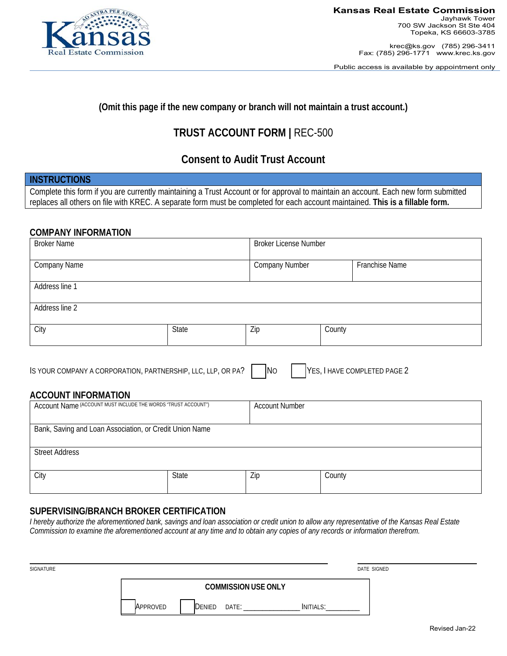

**Kansas Real Estate Commission**  Jayhawk Tower

700 SW Jackson St Ste 404 Topeka, KS 66603-3785

krec@ks.gov (785) 296-3411 Fax: (785) 296-1771 www.krec.ks.gov

Public access is available by appointment only

### **(Omit this page if the new company or branch will not maintain a trust account.)**

# **TRUST ACCOUNT FORM |** REC-500

# **Consent to Audit Trust Account**

#### **INSTRUCTIONS**

Complete this form if you are currently maintaining a Trust Account or for approval to maintain an account. Each new form submitted replaces all others on file with KREC. A separate form must be completed for each account maintained. **This is a fillable form.** 

#### **COMPANY INFORMATION**

| <b>Broker Name</b> |       | <b>Broker License Number</b> |        |                |
|--------------------|-------|------------------------------|--------|----------------|
| Company Name       |       |                              |        | Franchise Name |
| Address line 1     |       |                              |        |                |
| Address line 2     |       |                              |        |                |
| City               | State | Zip                          | County |                |

| IS YOUR COMPANY A CORPORATION, PARTNERSHIP, LLC, LLP, OR PA? | INc | HAVE COMPLETED PAGE 2<br><b>IYES</b> |
|--------------------------------------------------------------|-----|--------------------------------------|
|--------------------------------------------------------------|-----|--------------------------------------|

#### **ACCOUNT INFORMATION**

| Account Name (ACCOUNT MUST INCLUDE THE WORDS "TRUST ACCOUNT") |       | <b>Account Number</b> |        |  |  |
|---------------------------------------------------------------|-------|-----------------------|--------|--|--|
| Bank, Saving and Loan Association, or Credit Union Name       |       |                       |        |  |  |
| <b>Street Address</b>                                         |       |                       |        |  |  |
| City                                                          | State | Zip                   | County |  |  |

### **SUPERVISING/BRANCH BROKER CERTIFICATION**

*I hereby authorize the aforementioned bank, savings and loan association or credit union to allow any representative of the Kansas Real Estate Commission to examine the aforementioned account at any time and to obtain any copies of any records or information therefrom.* 

| SIGNATURE | DATE SIGNED                              |  |
|-----------|------------------------------------------|--|
|           | <b>COMMISSION USE ONLY</b>               |  |
|           | INITIALS:<br>APPROVED<br>Denied<br>DATE: |  |